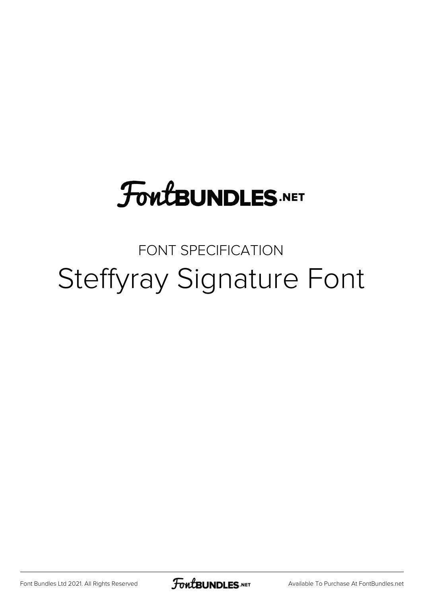## **FoutBUNDLES.NET**

## FONT SPECIFICATION Steffyray Signature Font

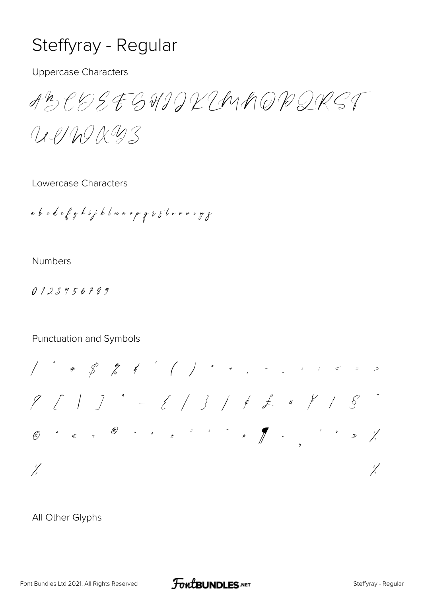## Steffyray - Regular

**Uppercase Characters** 

ABCQSEGHIJKIMAQBQRST

UP/WXW3

Lowercase Characters

a b o d e f g h i j k l w n o p g  $\imath$  s t w v w x y g

**Numbers** 

 $0123956789$ 

Punctuation and Symbols

 $\frac{1}{2}$ J.

All Other Glyphs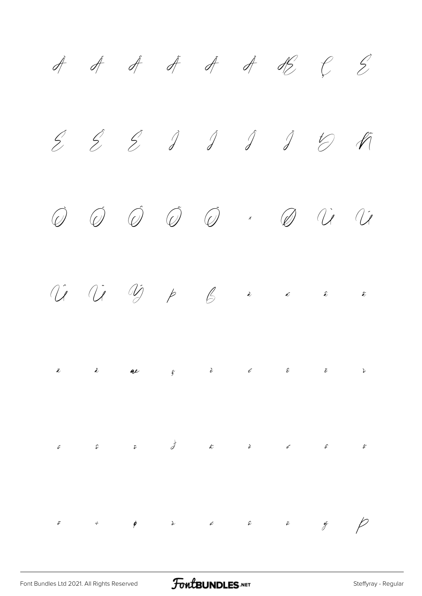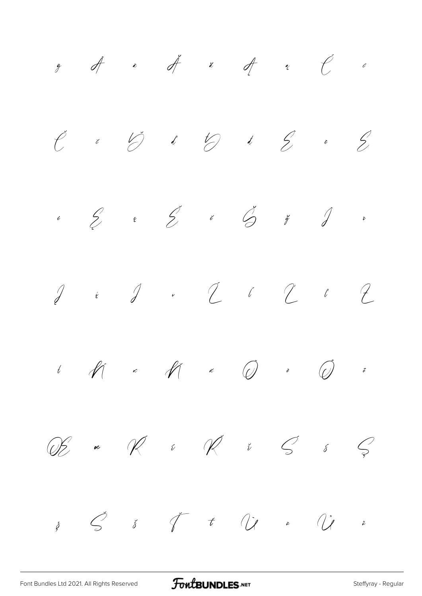